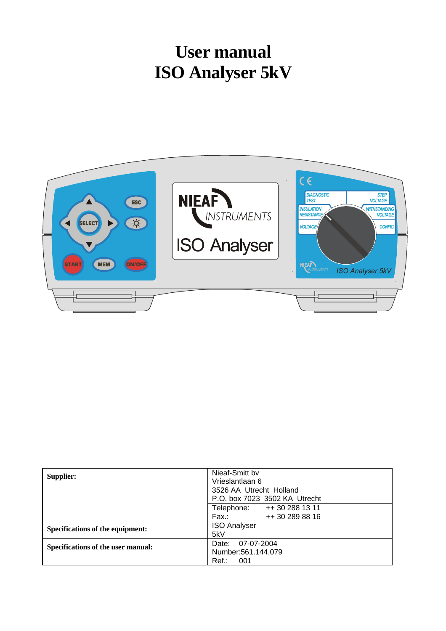# **User manual ISO Analyser 5kV**



| <b>Supplier:</b>                   | Nieaf-Smitt by                |  |  |
|------------------------------------|-------------------------------|--|--|
|                                    | Vrieslantlaan 6               |  |  |
|                                    | 3526 AA Utrecht Holland       |  |  |
|                                    | P.O. box 7023 3502 KA Utrecht |  |  |
|                                    | Telephone: ++30 288 13 11     |  |  |
|                                    | ++ 30 289 88 16<br>Fax.:      |  |  |
| Specifications of the equipment:   | <b>ISO Analyser</b>           |  |  |
|                                    | 5kV                           |  |  |
| Specifications of the user manual: | Date: 07-07-2004              |  |  |
|                                    | Number: 561.144.079           |  |  |
|                                    | Ref.: 001                     |  |  |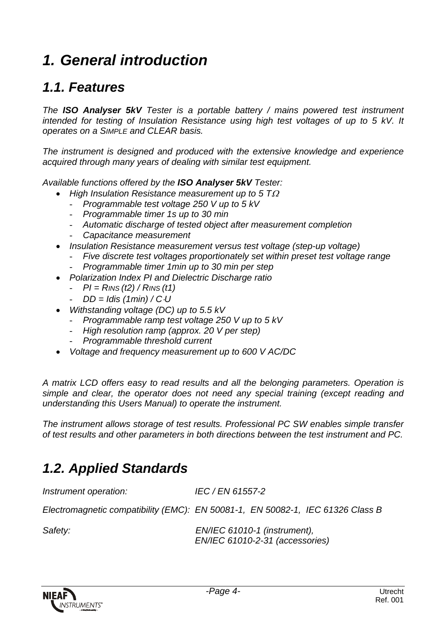# *1. General introduction*

### *1.1. Features*

*The ISO Analyser 5kV Tester is a portable battery / mains powered test instrument intended for testing of Insulation Resistance using high test voltages of up to 5 kV. It operates on a SIMPLE and CLEAR basis.*

*The instrument is designed and produced with the extensive knowledge and experience acquired through many years of dealing with similar test equipment.*

*Available functions offered by the ISO Analyser 5kV Tester:*

- *High Insulation Resistance measurement up to 5 T*<sup>Ω</sup>
	- *Programmable test voltage 250 V up to 5 kV*
	- *Programmable timer 1s up to 30 min*
	- *Automatic discharge of tested object after measurement completion*
	- *Capacitance measurement*
- *Insulation Resistance measurement versus test voltage (step-up voltage)*
	- *Five discrete test voltages proportionately set within preset test voltage range*
	- *Programmable timer 1min up to 30 min per step*
- *Polarization Index PI and Dielectric Discharge ratio*
	- *PI = RINS (t2) / RINS (t1)*
	- *DD = Idis (1min) / C*⋅*U*
- *Withstanding voltage (DC) up to 5.5 kV*
	- *Programmable ramp test voltage 250 V up to 5 kV*
	- *High resolution ramp (approx. 20 V per step)*
	- *Programmable threshold current*
- *Voltage and frequency measurement up to 600 V AC/DC*

*A matrix LCD offers easy to read results and all the belonging parameters. Operation is simple and clear, the operator does not need any special training (except reading and understanding this Users Manual) to operate the instrument.*

*The instrument allows storage of test results. Professional PC SW enables simple transfer of test results and other parameters in both directions between the test instrument and PC.*

### *1.2. Applied Standards*

| Instrument operation:                                                          | IEC / EN 61557-2 |  |
|--------------------------------------------------------------------------------|------------------|--|
| Electromagnetic compatibility (EMC): EN 50081-1, EN 50082-1, IEC 61326 Class B |                  |  |

*Safety: EN/IEC 61010-1 (instrument), EN/IEC 61010-2-31 (accessories)*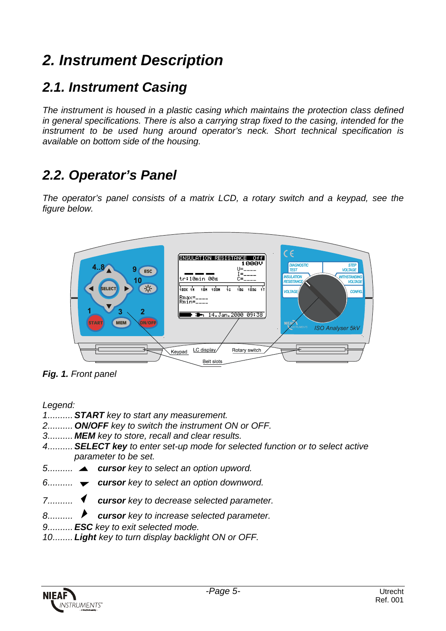# *2. Instrument Description*

### *2.1. Instrument Casing*

*The instrument is housed in a plastic casing which maintains the protection class defined in general specifications. There is also a carrying strap fixed to the casing, intended for the instrument to be used hung around operator's neck. Short technical specification is available on bottom side of the housing.*

### *2.2. Operator's Panel*

*The operator's panel consists of a matrix LCD, a rotary switch and a keypad, see the figure below.*



*Fig. 1. Front panel*

#### *Legend:*

- *1..........START key to start any measurement.*
- *2.......... ON/OFF key to switch the instrument ON or OFF.*
- *3.......... MEM key to store, recall and clear results.*
- *4..........SELECT key to enter set-up mode for selected function or to select active parameter to be set.*
- *5..........*<sup>5</sup> *cursor key to select an option upword.*
- *6..........*<sup>6</sup> *cursor key to select an option downword.*
- *7..........*<sup>3</sup> *cursor key to decrease selected parameter.*
- *8..........*<sup>4</sup> *cursor key to increase selected parameter.*
- *9..........ESC key to exit selected mode.*
- *10........ Light key to turn display backlight ON or OFF.*

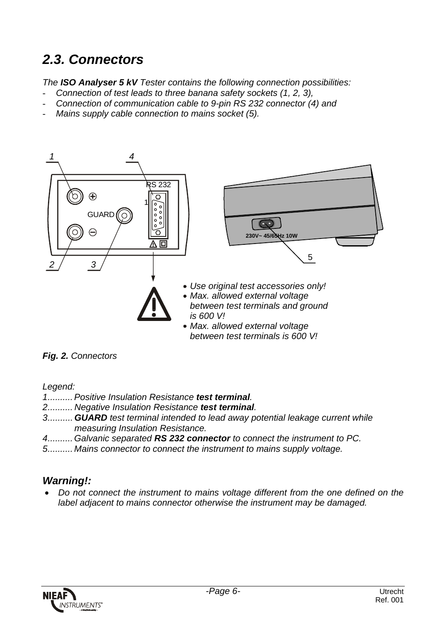## *2.3. Connectors*

*The ISO Analyser 5 kV Tester contains the following connection possibilities:*

- *Connection of test leads to three banana safety sockets (1, 2, 3),*
- *Connection of communication cable to 9-pin RS 232 connector (4) and*
- *Mains supply cable connection to mains socket (5).*



#### *Fig. 2. Connectors*

*Legend:*

- *1.......... Positive Insulation Resistance test terminal.*
- *2.......... Negative Insulation Resistance test terminal.*
- *3..........GUARD test terminal intended to lead away potential leakage current while measuring Insulation Resistance.*
- *4.......... Galvanic separated RS 232 connector to connect the instrument to PC.*
- *5.......... Mains connector to connect the instrument to mains supply voltage.*

#### *Warning!:*

• *Do not connect the instrument to mains voltage different from the one defined on the label adjacent to mains connector otherwise the instrument may be damaged.*

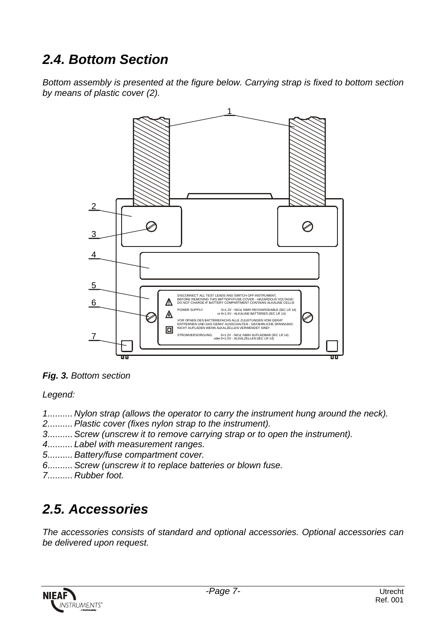### *2.4. Bottom Section*

*Bottom assembly is presented at the figure below. Carrying strap is fixed to bottom section by means of plastic cover (2).*



*Fig. 3. Bottom section*

*Legend:*

- *1.......... Nylon strap (allows the operator to carry the instrument hung around the neck).*
- *2.......... Plastic cover (fixes nylon strap to the instrument).*
- *3.......... Screw (unscrew it to remove carrying strap or to open the instrument).*
- *4.......... Label with measurement ranges.*
- *5.......... Battery/fuse compartment cover.*
- *6.......... Screw (unscrew it to replace batteries or blown fuse.*
- *7.......... Rubber foot.*

## *2.5. Accessories*

*The accessories consists of standard and optional accessories. Optional accessories can be delivered upon request.*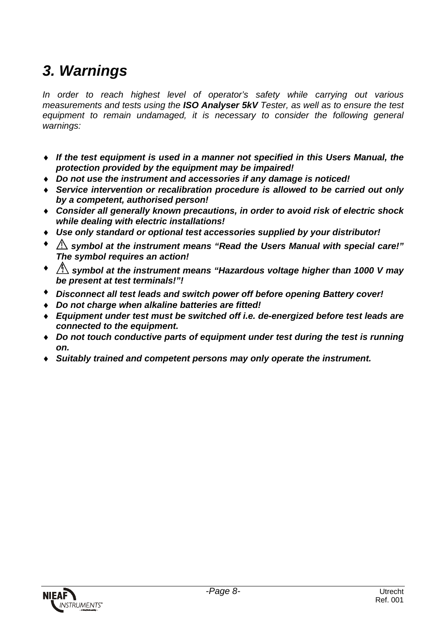# *3. Warnings*

*In order to reach highest level of operator's safety while carrying out various measurements and tests using the ISO Analyser 5kV Tester, as well as to ensure the test equipment to remain undamaged, it is necessary to consider the following general warnings:*

- ♦ *If the test equipment is used in a manner not specified in this Users Manual, the protection provided by the equipment may be impaired!*
- ♦ *Do not use the instrument and accessories if any damage is noticed!*
- ♦ *Service intervention or recalibration procedure is allowed to be carried out only by a competent, authorised person!*
- ♦ *Consider all generally known precautions, in order to avoid risk of electric shock while dealing with electric installations!*
- ♦ *Use only standard or optional test accessories supplied by your distributor!*
- ♦ ! *symbol at the instrument means "Read the Users Manual with special care!" The symbol requires an action!*
- $\triangleq$  *symbol at the instrument means "Hazardous voltage higher than 1000 V may be present at test terminals!"!*
- ♦ *Disconnect all test leads and switch power off before opening Battery cover!*
- ♦ *Do not charge when alkaline batteries are fitted!*
- ♦ *Equipment under test must be switched off i.e. de-energized before test leads are connected to the equipment.*
- ♦ *Do not touch conductive parts of equipment under test during the test is running on.*
- ♦ *Suitably trained and competent persons may only operate the instrument.*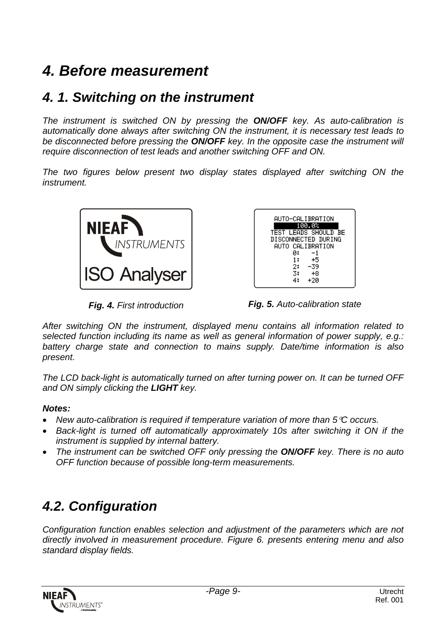# *4. Before measurement*

### *4. 1. Switching on the instrument*

*The instrument is switched ON by pressing the ON/OFF key. As auto-calibration is automatically done always after switching ON the instrument, it is necessary test leads to be disconnected before pressing the ON/OFF key. In the opposite case the instrument will require disconnection of test leads and another switching OFF and ON.*

*The two figures below present two display states displayed after switching ON the instrument.*



| AUTO-CALIBRATION     |
|----------------------|
| 100.0%               |
| TEST LEADS SHOULD BE |
| DISCONNECTED DURING  |
| AUTO CALIBRATION     |
| й:<br>-1             |
| 1:<br>+5             |
| 2:<br>-39            |
| 3:<br>+8             |
| +20                  |

*Fig. 4. First introduction Fig. 5. Auto-calibration state*

*After switching ON the instrument, displayed menu contains all information related to selected function including its name as well as general information of power supply, e.g.: battery charge state and connection to mains supply. Date/time information is also present.*

*The LCD back-light is automatically turned on after turning power on. It can be turned OFF and ON simply clicking the LIGHT key.*

#### *Notes:*

- *New auto-calibration is required if temperature variation of more than 5*°*C occurs.*
- *Back-light is turned off automatically approximately 10s after switching it ON if the instrument is supplied by internal battery.*
- *The instrument can be switched OFF only pressing the ON/OFF key. There is no auto OFF function because of possible long-term measurements.*

### *4.2. Configuration*

*Configuration function enables selection and adjustment of the parameters which are not directly involved in measurement procedure. Figure 6. presents entering menu and also standard display fields.*

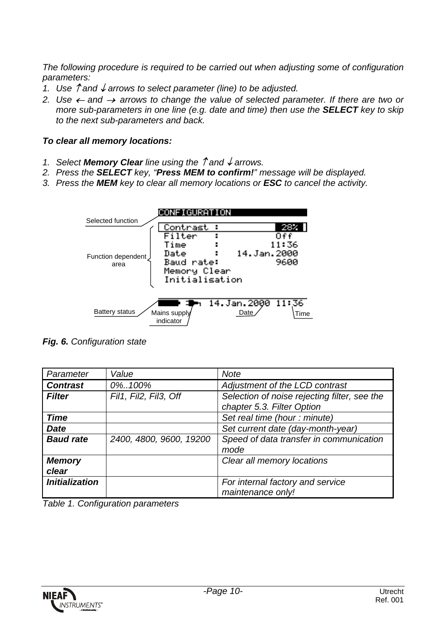*The following procedure is required to be carried out when adjusting some of configuration parameters:*

- *1. Use* ↑ *and* ↓ *arrows to select parameter (line) to be adjusted.*
- *2. Use* ← *and* <sup>→</sup> *arrows to change the value of selected parameter. If there are two or more sub-parameters in one line (e.g. date and time) then use the SELECT key to skip to the next sub-parameters and back.*

#### *To clear all memory locations:*

- *1. Select Memory Clear line using the* ↑ *and* ↓ *arrows.*
- *2. Press the SELECT key, "Press MEM to confirm!" message will be displayed.*
- *3. Press the MEM key to clear all memory locations or ESC to cancel the activity.*



*Fig. 6. Configuration state*

| Parameter              | Value                   | <b>Note</b>                                                                |
|------------------------|-------------------------|----------------------------------------------------------------------------|
| <b>Contrast</b>        | 0%100%                  | Adjustment of the LCD contrast                                             |
| <b>Filter</b>          | Fil1, Fil2, Fil3, Off   | Selection of noise rejecting filter, see the<br>chapter 5.3. Filter Option |
| <b>Time</b>            |                         | Set real time (hour : minute)                                              |
| <b>Date</b>            |                         | Set current date (day-month-year)                                          |
| <b>Baud rate</b>       | 2400, 4800, 9600, 19200 | Speed of data transfer in communication<br>mode                            |
| <b>Memory</b><br>clear |                         | Clear all memory locations                                                 |
| <b>Initialization</b>  |                         | For internal factory and service<br>maintenance only!                      |

*Table 1. Configuration parameters*

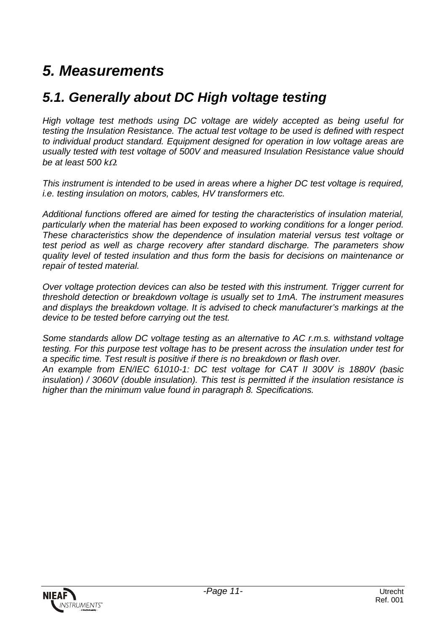## *5. Measurements*

### *5.1. Generally about DC High voltage testing*

*High voltage test methods using DC voltage are widely accepted as being useful for testing the Insulation Resistance. The actual test voltage to be used is defined with respect to individual product standard. Equipment designed for operation in low voltage areas are usually tested with test voltage of 500V and measured Insulation Resistance value should be at least 500 k*Ω*.*

*This instrument is intended to be used in areas where a higher DC test voltage is required, i.e. testing insulation on motors, cables, HV transformers etc.*

*Additional functions offered are aimed for testing the characteristics of insulation material, particularly when the material has been exposed to working conditions for a longer period. These characteristics show the dependence of insulation material versus test voltage or test period as well as charge recovery after standard discharge. The parameters show quality level of tested insulation and thus form the basis for decisions on maintenance or repair of tested material.*

*Over voltage protection devices can also be tested with this instrument. Trigger current for threshold detection or breakdown voltage is usually set to 1mA. The instrument measures and displays the breakdown voltage. It is advised to check manufacturer's markings at the device to be tested before carrying out the test.*

*Some standards allow DC voltage testing as an alternative to AC r.m.s. withstand voltage testing. For this purpose test voltage has to be present across the insulation under test for a specific time. Test result is positive if there is no breakdown or flash over.*

*An example from EN/IEC 61010-1: DC test voltage for CAT II 300V is 1880V (basic insulation) / 3060V (double insulation). This test is permitted if the insulation resistance is higher than the minimum value found in paragraph 8. Specifications.*

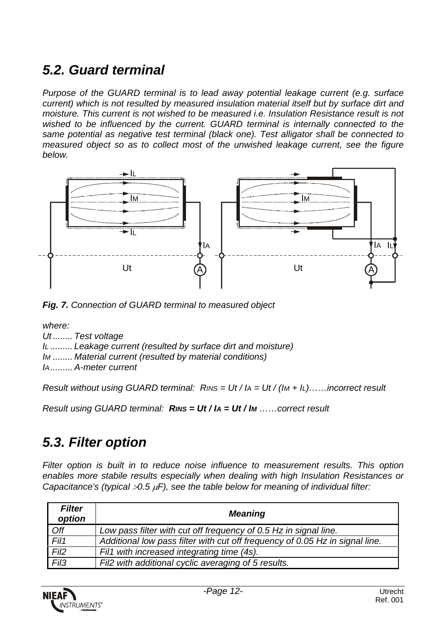### *5.2. Guard terminal*

*Purpose of the GUARD terminal is to lead away potential leakage current (e.g. surface current) which is not resulted by measured insulation material itself but by surface dirt and moisture. This current is not wished to be measured i.e. Insulation Resistance result is not wished to be influenced by the current. GUARD terminal is internally connected to the same potential as negative test terminal (black one). Test alligator shall be connected to measured object so as to collect most of the unwished leakage current, see the figure below.*



*Fig. 7. Connection of GUARD terminal to measured object*

*where: Ut ........ Test voltage IL ......... Leakage current (resulted by surface dirt and moisture) IM ........ Material current (resulted by material conditions) IA......... A-meter current*

*Result without using GUARD terminal: RINS = Ut / IA = Ut / (IM + IL)……incorrect result*

*Result using GUARD terminal: RINS = Ut / IA = Ut / IM ……correct result*

### *5.3. Filter option*

*Filter option is built in to reduce noise influence to measurement results. This option enables more stabile results especially when dealing with high Insulation Resistances or Capacitance's (typical* >*0.5* µ*F), see the table below for meaning of individual filter:*

| <b>Filter</b><br>option | <b>Meaning</b>                                                               |
|-------------------------|------------------------------------------------------------------------------|
| Off                     | Low pass filter with cut off frequency of 0.5 Hz in signal line.             |
| Fil1                    | Additional low pass filter with cut off frequency of 0.05 Hz in signal line. |
| Fil <sub>2</sub>        | Fil1 with increased integrating time (4s).                                   |
| Fil <sub>3</sub>        | Fil2 with additional cyclic averaging of 5 results.                          |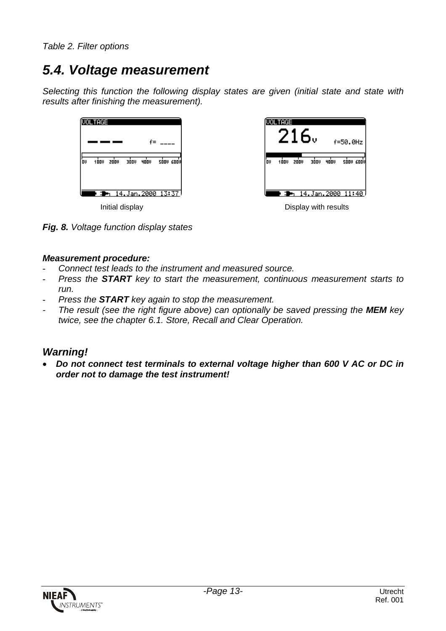## *5.4. Voltage measurement*

*Selecting this function the following display states are given (initial state and state with results after finishing the measurement).*





*Fig. 8. Voltage function display states*

#### *Measurement procedure:*

- *Connect test leads to the instrument and measured source.*
- *Press the START key to start the measurement, continuous measurement starts to run.*
- *Press the START key again to stop the measurement.*
- *The result (see the right figure above) can optionally be saved pressing the MEM key twice, see the chapter 6.1. Store, Recall and Clear Operation.*

#### *Warning!*

• *Do not connect test terminals to external voltage higher than 600 V AC or DC in order not to damage the test instrument!*

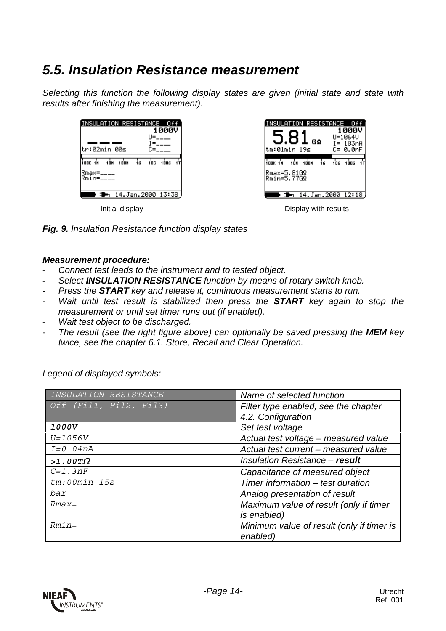### *5.5. Insulation Resistance measurement*

*Selecting this function the following display states are given (initial state and state with results after finishing the measurement).*







#### *Measurement procedure:*

- *Connect test leads to the instrument and to tested object.*
- *Select INSULATION RESISTANCE function by means of rotary switch knob.*
- *Press the START key and release it, continuous measurement starts to run.*
- *Wait until test result is stabilized then press the START key again to stop the measurement or until set timer runs out (if enabled).*
- Wait test object to be discharged.
- *The result (see the right figure above) can optionally be saved pressing the MEM key twice, see the chapter 6.1. Store, Recall and Clear Operation.*

*Legend of displayed symbols:*

| INSULATION RESISTANCE  | Name of selected function                 |
|------------------------|-------------------------------------------|
| Off (Fil1, Fil2, Fil3) | Filter type enabled, see the chapter      |
|                        | 4.2. Configuration                        |
| <i>1000V</i>           | Set test voltage                          |
| $U = 1056V$            | Actual test voltage - measured value      |
| $I=0.04nA$             | Actual test current – measured value      |
| $>1.00T\Omega$         | Insulation Resistance - result            |
| $C=1.3nF$              | Capacitance of measured object            |
| tm:00min 15s           | Timer information – test duration         |
| bar                    | Analog presentation of result             |
| $Rmax=$                | Maximum value of result (only if timer    |
|                        | is enabled)                               |
| $Rmin=$                | Minimum value of result (only if timer is |
|                        | enabled)                                  |

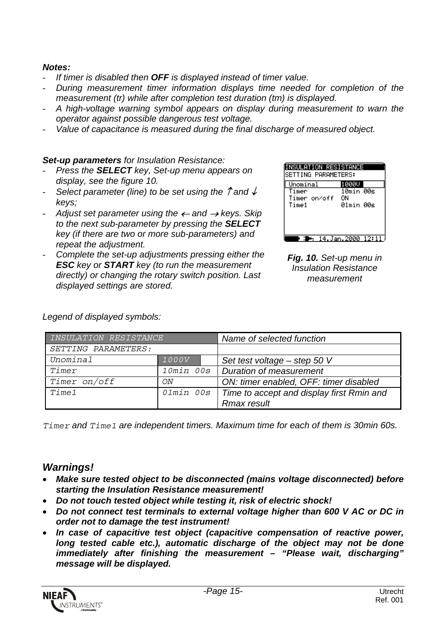#### *Notes:*

- *If timer is disabled then OFF is displayed instead of timer value.*
- *During measurement timer information displays time needed for completion of the measurement (tr) while after completion test duration (tm) is displayed.*
- *A high-voltage warning symbol appears on display during measurement to warn the operator against possible dangerous test voltage.*
- *Value of capacitance is measured during the final discharge of measured object.*

#### *Set-up parameters for Insulation Resistance:*

- *Press the SELECT key, Set-up menu appears on display, see the figure 10.*
- *Select parameter (line) to be set using the* ↑ *and* ↓ *keys;*
- *Adjust set parameter using the* ← *and* → *keys. Skip to the next sub-parameter by pressing the SELECT key (if there are two or more sub-parameters) and repeat the adjustment.*
- *Complete the set-up adjustments pressing either the ESC key or START key (to run the measurement directly) or changing the rotary switch position. Last displayed settings are stored.*

| NSULATION RESISTANCE<br>SETTING PARAMETERS: |                 |      |
|---------------------------------------------|-----------------|------|
| Unominal                                    | .000U           |      |
| imer<br>Timer on⁄off                        | 10min 00s<br>OΝ |      |
| Time1                                       | 01min 00s       |      |
|                                             |                 |      |
|                                             |                 |      |
|                                             | 14.Jan.2000     | 12:1 |

*Fig. 10. Set-up menu in Insulation Resistance measurement*

| INSULATION RESISTANCE |                  | Name of selected function                 |
|-----------------------|------------------|-------------------------------------------|
| SETTING PARAMETERS:   |                  |                                           |
| Unominal              | <i>1000V</i>     | Set test voltage – step 50 V              |
| Timer                 | $10min$ $00s$    | Duration of measurement                   |
| Timer on/off          | ON               | ON: timer enabled, OFF: timer disabled    |
| <i>Timel</i>          | <i>Olmin 00s</i> | Time to accept and display first Rmin and |
|                       |                  | <b>Rmax result</b>                        |

*Legend of displayed symbols:*

*Timer and Time1 are independent timers. Maximum time for each of them is 30min 60s.*

#### *Warnings!*

- *Make sure tested object to be disconnected (mains voltage disconnected) before starting the Insulation Resistance measurement!*
- *Do not touch tested object while testing it, risk of electric shock!*
- *Do not connect test terminals to external voltage higher than 600 V AC or DC in order not to damage the test instrument!*
- *In case of capacitive test object (capacitive compensation of reactive power, long tested cable etc.), automatic discharge of the object may not be done immediately after finishing the measurement – "Please wait, discharging" message will be displayed.*

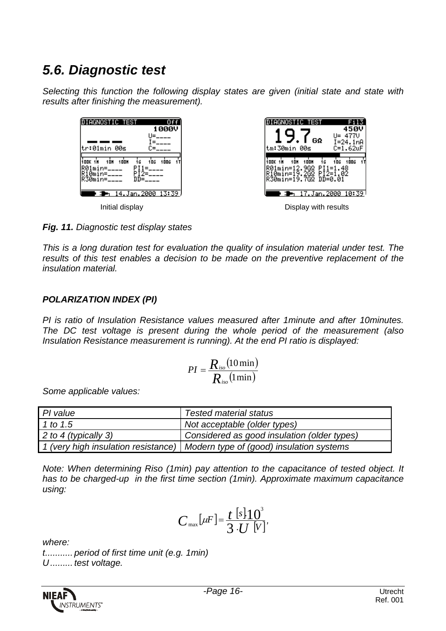## *5.6. Diagnostic test*

*Selecting this function the following display states are given (initial state and state with results after finishing the measurement).*



*Fig. 11. Diagnostic test display states*

*This is a long duration test for evaluation the quality of insulation material under test. The results of this test enables a decision to be made on the preventive replacement of the insulation material.*

#### *POLARIZATION INDEX (PI)*

*PI is ratio of Insulation Resistance values measured after 1minute and after 10minutes. The DC test voltage is present during the whole period of the measurement (also Insulation Resistance measurement is running). At the end PI ratio is displayed:*

$$
PI = \frac{R_{iso}(10 \text{ min})}{R_{iso}(1 \text{ min})}
$$

*Some applicable values:*

| PI value             | <b>Tested material status</b>                                                  |
|----------------------|--------------------------------------------------------------------------------|
| 1 to 1.5             | Not acceptable (older types)                                                   |
| 2 to 4 (typically 3) | Considered as good insulation (older types)                                    |
|                      | 1 (very high insulation resistance)   Modern type of (good) insulation systems |

*Note: When determining Riso (1min) pay attention to the capacitance of tested object. It has to be charged-up in the first time section (1min). Approximate maximum capacitance using:*

$$
C_{\max}[\mu F] = \frac{t \left[s\right]10^3}{3 \cdot U \left[V\right]},
$$

*where:*

*t........... period of first time unit (e.g. 1min) U ......... test voltage.*

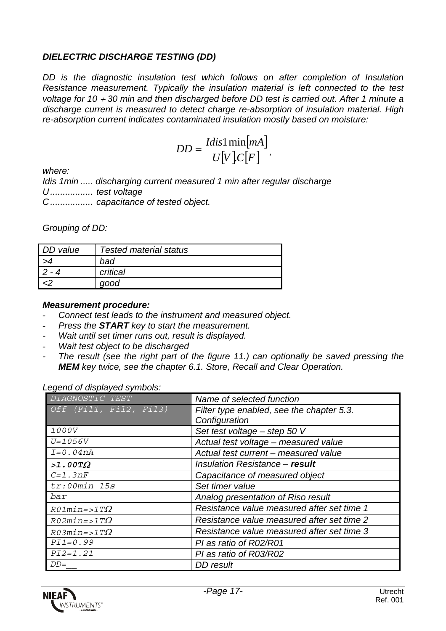#### *DIELECTRIC DISCHARGE TESTING (DD)*

*DD is the diagnostic insulation test which follows on after completion of Insulation Resistance measurement. Typically the insulation material is left connected to the test voltage for 10* ÷ *30 min and then discharged before DD test is carried out. After 1 minute a discharge current is measured to detect charge re-absorption of insulation material. High re-absorption current indicates contaminated insulation mostly based on moisture:*

$$
DD = \frac{Idis1 \min[mA]}{U[V]C[F]},
$$

*where:*

*Idis 1min ..... discharging current measured 1 min after regular discharge U ................. test voltage C ................. capacitance of tested object.*

*Grouping of DD:*

| DD value | <b>Tested material status</b> |
|----------|-------------------------------|
|          | bad                           |
|          | critical                      |
|          | good                          |

#### *Measurement procedure:*

- *Connect test leads to the instrument and measured object.*
- *Press the START key to start the measurement.*
- *Wait until set timer runs out, result is displayed.*
- *Wait test object to be discharged*
- *The result (see the right part of the figure 11.) can optionally be saved pressing the MEM key twice, see the chapter 6.1. Store, Recall and Clear Operation.*

*Legend of displayed symbols:*

| DIAGNOSTIC TEST        | Name of selected function                  |
|------------------------|--------------------------------------------|
| Off (Fil1, Fil2, Fil3) | Filter type enabled, see the chapter 5.3.  |
|                        | Configuration                              |
| <i>1000V</i>           | Set test voltage - step 50 V               |
| $U = 1056V$            | Actual test voltage - measured value       |
| $I=0.04nA$             | Actual test current - measured value       |
| $>1.00T\Omega$         | Insulation Resistance - result             |
| $C=1.3nF$              | Capacitance of measured object             |
| $tr: 00min$ 15s        | Set timer value                            |
| bar                    | Analog presentation of Riso result         |
| $R01$ min=>1T $\Omega$ | Resistance value measured after set time 1 |
| $R02$ min=>1T $\Omega$ | Resistance value measured after set time 2 |
| $R03$ min=>1T $\Omega$ | Resistance value measured after set time 3 |
| $PI1 = 0.99$           | PI as ratio of R02/R01                     |
| $PI2 = 1.21$           | PI as ratio of R03/R02                     |
| $DD=$                  | DD result                                  |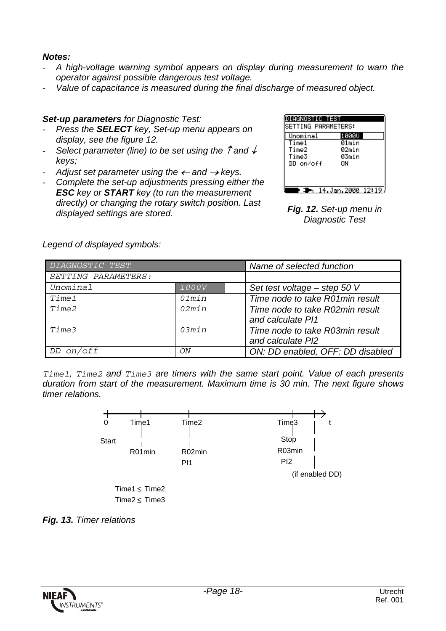#### *Notes:*

- *A high-voltage warning symbol appears on display during measurement to warn the operator against possible dangerous test voltage.*
- *Value of capacitance is measured during the final discharge of measured object.*

#### *Set-up parameters for Diagnostic Test:*

- *Press the SELECT key, Set-up menu appears on display, see the figure 12.*
- *Select parameter (line) to be set using the* ↑ *and* ↓ *keys;*
- Adjust set parameter using the  $\leftarrow$  and  $\rightarrow$  keys.
- *Complete the set-up adjustments pressing either the ESC key or START key (to run the measurement directly) or changing the rotary switch position. Last displayed settings are stored. Fig. 12. Set-up menu in*

| AGNOSTIC TEST<br>SETTING PARAMETERS: |           |  |
|--------------------------------------|-----------|--|
| Unominal                             | 1000U     |  |
| Time1                                | 01min     |  |
| Time2                                | 02min     |  |
| Time3                                | 03min     |  |
| DD on⁄off                            | OΝ        |  |
|                                      |           |  |
|                                      |           |  |
|                                      |           |  |
|                                      | .Jan.2000 |  |

*Diagnostic Test*

| DIAGNOSTIC TEST     |              | Name of selected function        |
|---------------------|--------------|----------------------------------|
| SETTING PARAMETERS: |              |                                  |
| Unominal            | <i>1000V</i> | Set test voltage $-$ step 50 V   |
| <i>Timel</i>        | 01min        | Time node to take R01min result  |
| <i>Time2</i>        | 02min        | Time node to take R02min result  |
|                     |              | and calculate PI1                |
| Time3               | O3min        | Time node to take R03min result  |
|                     |              | and calculate PI2                |
| on/off<br>DD        | ON           | ON: DD enabled, OFF: DD disabled |

*Legend of displayed symbols:*

*Time1, Time2 and Time3 are timers with the same start point. Value of each presents duration from start of the measurement. Maximum time is 30 min. The next figure shows timer relations.*



*Fig. 13. Timer relations*

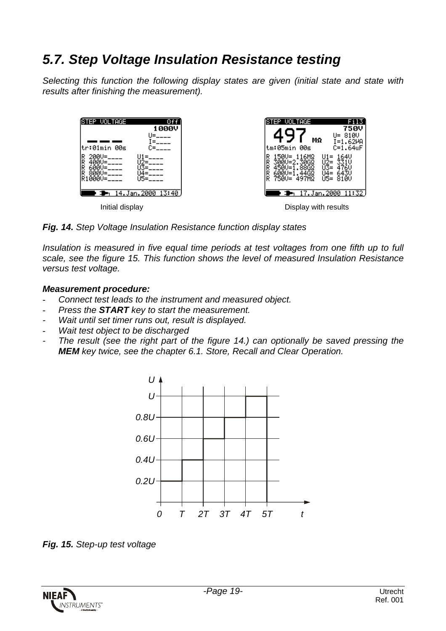### *5.7. Step Voltage Insulation Resistance testing*

*Selecting this function the following display states are given (initial state and state with results after finishing the measurement).*



*Fig. 14. Step Voltage Insulation Resistance function display states*

*Insulation is measured in five equal time periods at test voltages from one fifth up to full scale, see the figure 15. This function shows the level of measured Insulation Resistance versus test voltage.*

#### *Measurement procedure:*

- *Connect test leads to the instrument and measured object.*
- *Press the START key to start the measurement.*
- *Wait until set timer runs out, result is displayed.*
- *Wait test object to be discharged*
- *The result (see the right part of the figure 14.) can optionally be saved pressing the MEM key twice, see the chapter 6.1. Store, Recall and Clear Operation.*



*Fig. 15. Step-up test voltage*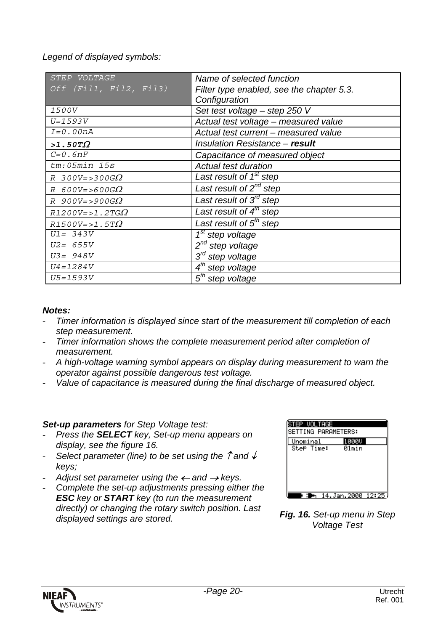*Legend of displayed symbols:*

| VOLTAGE<br><b>STEP</b>   | Name of selected function                 |
|--------------------------|-------------------------------------------|
| Off (Fil1, Fil2, Fil3)   | Filter type enabled, see the chapter 5.3. |
|                          | Configuration                             |
| 1500V                    | Set test voltage - step 250 V             |
| $U = 1593V$              | Actual test voltage - measured value      |
| $I=0.00nA$               | Actual test current - measured value      |
| $>1.50T\Omega$           | Insulation Resistance - result            |
| $C=0.6nF$                | Capacitance of measured object            |
| $tm:05min$ 15s           | <b>Actual test duration</b>               |
| $R$ 300V=>300G $\Omega$  | Last result of 1 <sup>st</sup> step       |
| $R$ 600V=>600G $\Omega$  | Last result of $2^{nd}$ step              |
| $R$ 900V=>900G $\Omega$  | Last result of 3 <sup>rd</sup> step       |
| $R1200V = > 1.2TG\Omega$ | Last result of $4th$ step                 |
| $R1500V = > 1.5T\Omega$  | Last result of $5th$ step                 |
| $U1 = 343V$              | 1 <sup>st</sup> step voltage              |
| $U2 = 655V$              | 2 <sup>nd</sup> step voltage              |
| $U3 = 948V$              | $3^{\prime d}$<br>step voltage            |
| $U4 = 1284V$             | step voltage                              |
| $U5 = 1593V$             | $5th$ step voltage                        |

#### *Notes:*

- *Timer information is displayed since start of the measurement till completion of each step measurement.*
- *Timer information shows the complete measurement period after completion of measurement.*
- *A high-voltage warning symbol appears on display during measurement to warn the operator against possible dangerous test voltage.*
- *Value of capacitance is measured during the final discharge of measured object.*

#### *Set-up parameters for Step Voltage test:*

- *Press the SELECT key, Set-up menu appears on display, see the figure 16.*
- *Select parameter (line) to be set using the* ↑ *and* ↓ *keys;*
- *Adjust set parameter using the* ← *and* → *keys.*
- *Complete the set-up adjustments pressing either the ESC key or START key (to run the measurement directly) or changing the rotary switch position. Last displayed settings are stored. Fig. 16. Set-up menu in Step*

| EP VOLTAGE<br>SETTING PARAMETERS: |                   |  |
|-----------------------------------|-------------------|--|
| Unominal<br>Step Time:            | 900V<br>01min     |  |
|                                   |                   |  |
|                                   |                   |  |
|                                   | 14.Jan.2000 12:25 |  |

*Voltage Test*

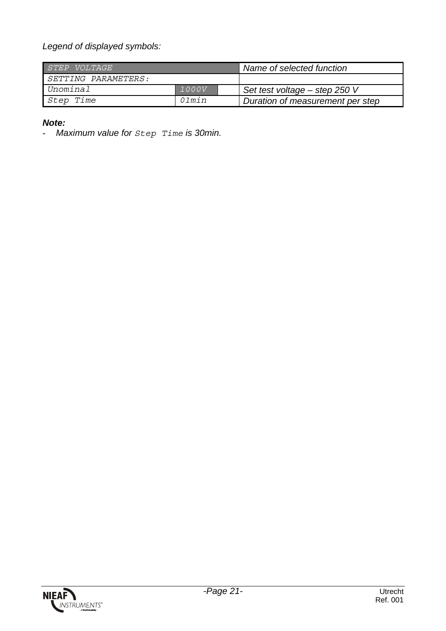*Legend of displayed symbols:*

| <i>STEP VOLTAGE</i> |       | Name of selected function        |
|---------------------|-------|----------------------------------|
| SETTING PARAMETERS: |       |                                  |
| Unominal            | 1000V | Set test voltage – step 250 V    |
| Step Time           | Olmin | Duration of measurement per step |

#### *Note:*

- *Maximum value for Step Time is 30min.*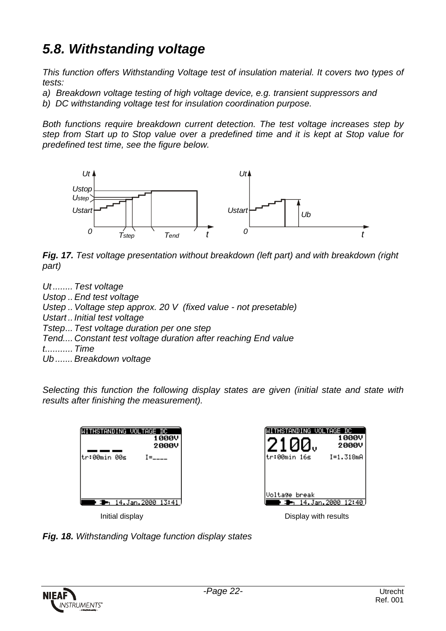## *5.8. Withstanding voltage*

*This function offers Withstanding Voltage test of insulation material. It covers two types of tests:*

- *a) Breakdown voltage testing of high voltage device, e.g. transient suppressors and*
- *b) DC withstanding voltage test for insulation coordination purpose.*

*Both functions require breakdown current detection. The test voltage increases step by step from Start up to Stop value over a predefined time and it is kept at Stop value for predefined test time, see the figure below.*



*Fig. 17. Test voltage presentation without breakdown (left part) and with breakdown (right part)*

*Ut ........ Test voltage Ustop .. End test voltage Ustep .. Voltage step approx. 20 V (fixed value - not presetable) Ustart .. Initial test voltage Tstep... Test voltage duration per one step Tend.... Constant test voltage duration after reaching End value t........... Time Ub ....... Breakdown voltage*

*Selecting this function the following display states are given (initial state and state with results after finishing the measurement).*

| THSTANDING VOL<br><b>TAGE</b><br>DС<br>1000V<br>2000V | HSTANDING VOL<br>TAGE DC.<br>1000V<br>2000V |
|-------------------------------------------------------|---------------------------------------------|
| tr:00min 00s<br>$I =$                                 | tr:00min 16s<br>$I = 1.318mA$               |
|                                                       |                                             |
|                                                       |                                             |
|                                                       | Voltage break                               |
| 14.Jan.2000 13:41                                     | 14.Jan.2000 12:40                           |
| Initial display                                       | Display with results                        |

*Fig. 18. Withstanding Voltage function display states*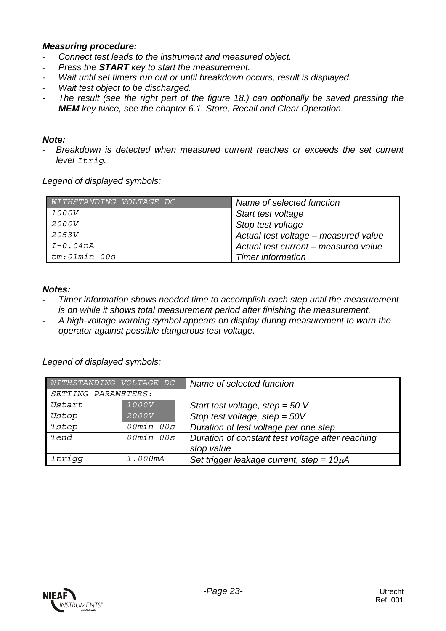#### *Measuring procedure:*

- *Connect test leads to the instrument and measured object.*
- *Press the START key to start the measurement.*
- *Wait until set timers run out or until breakdown occurs, result is displayed.*
- *Wait test object to be discharged.*
- *The result (see the right part of the figure 18.) can optionally be saved pressing the MEM key twice, see the chapter 6.1. Store, Recall and Clear Operation.*

#### *Note:*

- *Breakdown is detected when measured current reaches or exceeds the set current level Itrig.*

*Legend of displayed symbols:*

| WITHSTANDING VOLTAGE DC | Name of selected function            |
|-------------------------|--------------------------------------|
| <i>1000V</i>            | Start test voltage                   |
| <i>2000V</i>            | Stop test voltage                    |
| 2053V                   | Actual test voltage - measured value |
| $I=0.04nA$              | Actual test current – measured value |
| tm:01min 00s            | <b>Timer information</b>             |

#### *Notes:*

- *Timer information shows needed time to accomplish each step until the measurement is on while it shows total measurement period after finishing the measurement.*
- *A high-voltage warning symbol appears on display during measurement to warn the operator against possible dangerous test voltage.*

*Legend of displayed symbols:*

| WITHSTANDING VOLTAGE DC |              | Name of selected function                        |
|-------------------------|--------------|--------------------------------------------------|
| SETTING PARAMETERS:     |              |                                                  |
| Ustart                  | <i>1000V</i> | Start test voltage, step = $50V$                 |
| Ustop                   | <i>2000V</i> | Stop test voltage, step = $50V$                  |
| Tstep                   | 00min 00s    | Duration of test voltage per one step            |
| Tend                    | 00min 00s    | Duration of constant test voltage after reaching |
|                         |              | stop value                                       |
| Itrigg                  | 1.000mA      | Set trigger leakage current, step = $10\mu$ A    |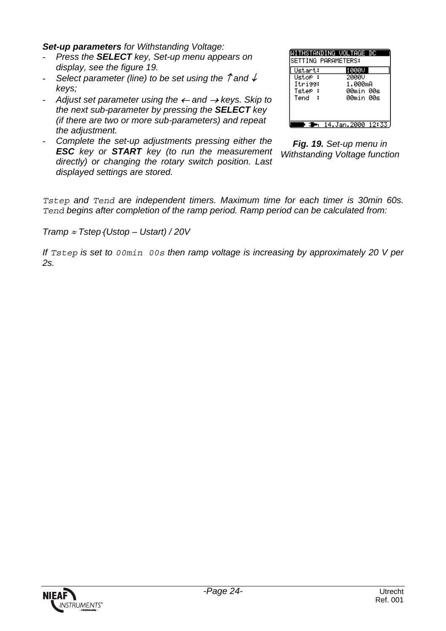*Set-up parameters for Withstanding Voltage:*

- *Press the SELECT key, Set-up menu appears on display, see the figure 19.*
- *Select parameter (line) to be set using the* ↑ *and* ↓ *keys;*
- *Adjust set parameter using the* ← *and* → *keys. Skip to the next sub-parameter by pressing the SELECT key (if there are two or more sub-parameters) and repeat the adjustment.*
- *Complete the set-up adjustments pressing either the ESC key or START key (to run the measurement directly) or changing the rotary switch position. Last displayed settings are stored.*

| SETTING PARAMETERS:                      | WITHSTANDING VOLTAGE DC                |
|------------------------------------------|----------------------------------------|
| Ustart:<br>Ustor :<br>Itrigg:<br>Tster : | 1000U<br>2000V<br>1.000mA<br>00min 00s |
| Tend                                     | 00min 00s                              |
|                                          | 14.Jan.2000 12:33                      |

*Fig. 19. Set-up menu in Withstanding Voltage function*

*Tstep and Tend are independent timers. Maximum time for each timer is 30min 60s. Tend begins after completion of the ramp period. Ramp period can be calculated from:*

*Tramp* ≈ *Tstep*⋅*(Ustop – Ustart) / 20V*

*If Tstep is set to 00min 00s then ramp voltage is increasing by approximately 20 V per 2s.*

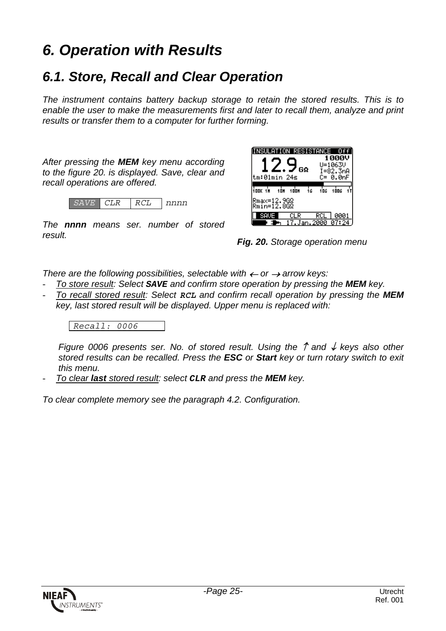# *6. Operation with Results*

### *6.1. Store, Recall and Clear Operation*

*The instrument contains battery backup storage to retain the stored results. This is to enable the user to make the measurements first and later to recall them, analyze and print results or transfer them to a computer for further forming.*

*After pressing the MEM key menu according to the figure 20. is displayed. Save, clear and recall operations are offered.*



*The nnnn means ser. number of stored result.*



*Fig. 20. Storage operation menu*

*There are the following possibilities, selectable with* ← *or* → *arrow keys:*

- *To store result: Select SAVE and confirm store operation by pressing the MEM key.*
- *To recall stored result: Select RCL and confirm recall operation by pressing the MEM key, last stored result will be displayed. Upper menu is replaced with:*

*Recall: 0006*

*Figure 0006 presents ser. No. of stored result. Using the* ↑ *and* ↓ *keys also other stored results can be recalled. Press the ESC or Start key or turn rotary switch to exit this menu.*

- *To clear last stored result: select CLR and press the MEM key.*

*To clear complete memory see the paragraph 4.2. Configuration.*

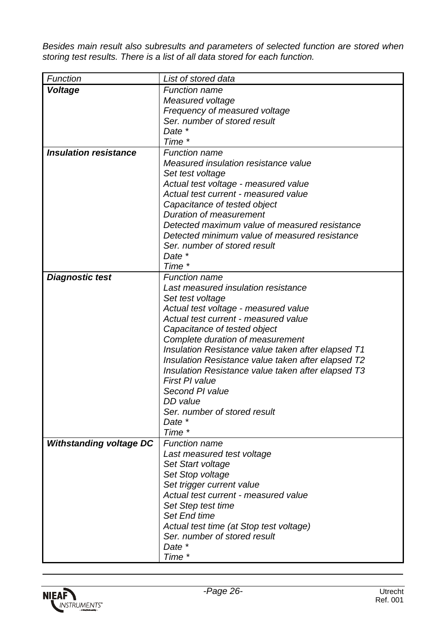*Besides main result also subresults and parameters of selected function are stored when storing test results. There is a list of all data stored for each function.*

| Function                       | List of stored data                                                                                                                                                                                                                                                                                                                                                                                                                                                                  |
|--------------------------------|--------------------------------------------------------------------------------------------------------------------------------------------------------------------------------------------------------------------------------------------------------------------------------------------------------------------------------------------------------------------------------------------------------------------------------------------------------------------------------------|
| Voltage                        | <b>Function name</b>                                                                                                                                                                                                                                                                                                                                                                                                                                                                 |
|                                | Measured voltage                                                                                                                                                                                                                                                                                                                                                                                                                                                                     |
|                                | Frequency of measured voltage                                                                                                                                                                                                                                                                                                                                                                                                                                                        |
|                                | Ser. number of stored result                                                                                                                                                                                                                                                                                                                                                                                                                                                         |
|                                | Date *                                                                                                                                                                                                                                                                                                                                                                                                                                                                               |
|                                | Time *                                                                                                                                                                                                                                                                                                                                                                                                                                                                               |
| <b>Insulation resistance</b>   | <b>Function name</b>                                                                                                                                                                                                                                                                                                                                                                                                                                                                 |
|                                | Measured insulation resistance value                                                                                                                                                                                                                                                                                                                                                                                                                                                 |
|                                | Set test voltage                                                                                                                                                                                                                                                                                                                                                                                                                                                                     |
|                                | Actual test voltage - measured value<br>Actual test current - measured value                                                                                                                                                                                                                                                                                                                                                                                                         |
|                                |                                                                                                                                                                                                                                                                                                                                                                                                                                                                                      |
|                                | Capacitance of tested object<br><b>Duration of measurement</b>                                                                                                                                                                                                                                                                                                                                                                                                                       |
|                                | Detected maximum value of measured resistance                                                                                                                                                                                                                                                                                                                                                                                                                                        |
|                                | Detected minimum value of measured resistance                                                                                                                                                                                                                                                                                                                                                                                                                                        |
|                                | Ser, number of stored result                                                                                                                                                                                                                                                                                                                                                                                                                                                         |
|                                | Date *                                                                                                                                                                                                                                                                                                                                                                                                                                                                               |
|                                | Time *                                                                                                                                                                                                                                                                                                                                                                                                                                                                               |
| <b>Diagnostic test</b>         | <b>Function name</b>                                                                                                                                                                                                                                                                                                                                                                                                                                                                 |
|                                | Last measured insulation resistance                                                                                                                                                                                                                                                                                                                                                                                                                                                  |
|                                |                                                                                                                                                                                                                                                                                                                                                                                                                                                                                      |
|                                |                                                                                                                                                                                                                                                                                                                                                                                                                                                                                      |
|                                | Actual test current - measured value                                                                                                                                                                                                                                                                                                                                                                                                                                                 |
|                                |                                                                                                                                                                                                                                                                                                                                                                                                                                                                                      |
|                                | Complete duration of measurement                                                                                                                                                                                                                                                                                                                                                                                                                                                     |
|                                | Insulation Resistance value taken after elapsed T1                                                                                                                                                                                                                                                                                                                                                                                                                                   |
|                                | Insulation Resistance value taken after elapsed T2                                                                                                                                                                                                                                                                                                                                                                                                                                   |
|                                | Insulation Resistance value taken after elapsed T3                                                                                                                                                                                                                                                                                                                                                                                                                                   |
|                                | <b>First PI value</b>                                                                                                                                                                                                                                                                                                                                                                                                                                                                |
|                                |                                                                                                                                                                                                                                                                                                                                                                                                                                                                                      |
|                                |                                                                                                                                                                                                                                                                                                                                                                                                                                                                                      |
|                                |                                                                                                                                                                                                                                                                                                                                                                                                                                                                                      |
|                                |                                                                                                                                                                                                                                                                                                                                                                                                                                                                                      |
|                                |                                                                                                                                                                                                                                                                                                                                                                                                                                                                                      |
|                                |                                                                                                                                                                                                                                                                                                                                                                                                                                                                                      |
|                                |                                                                                                                                                                                                                                                                                                                                                                                                                                                                                      |
|                                |                                                                                                                                                                                                                                                                                                                                                                                                                                                                                      |
|                                |                                                                                                                                                                                                                                                                                                                                                                                                                                                                                      |
|                                |                                                                                                                                                                                                                                                                                                                                                                                                                                                                                      |
|                                |                                                                                                                                                                                                                                                                                                                                                                                                                                                                                      |
|                                |                                                                                                                                                                                                                                                                                                                                                                                                                                                                                      |
|                                |                                                                                                                                                                                                                                                                                                                                                                                                                                                                                      |
|                                |                                                                                                                                                                                                                                                                                                                                                                                                                                                                                      |
|                                |                                                                                                                                                                                                                                                                                                                                                                                                                                                                                      |
|                                |                                                                                                                                                                                                                                                                                                                                                                                                                                                                                      |
| <b>Withstanding voltage DC</b> | Set test voltage<br>Actual test voltage - measured value<br>Capacitance of tested object<br>Second PI value<br>DD value<br>Ser, number of stored result<br>Date *<br>Time *<br><b>Function name</b><br>Last measured test voltage<br>Set Start voltage<br>Set Stop voltage<br>Set trigger current value<br>Actual test current - measured value<br>Set Step test time<br>Set End time<br>Actual test time (at Stop test voltage)<br>Ser. number of stored result<br>Date *<br>Time * |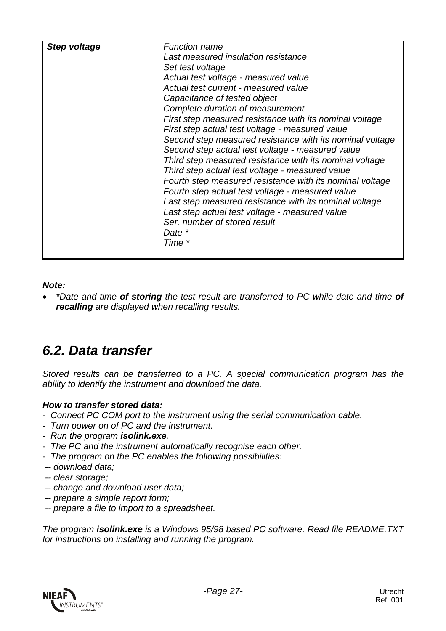| Step voltage | <b>Function name</b><br>Last measured insulation resistance<br>Set test voltage<br>Actual test voltage - measured value<br>Actual test current - measured value<br>Capacitance of tested object<br>Complete duration of measurement<br>First step measured resistance with its nominal voltage<br>First step actual test voltage - measured value<br>Second step measured resistance with its nominal voltage<br>Second step actual test voltage - measured value<br>Third step measured resistance with its nominal voltage<br>Third step actual test voltage - measured value<br>Fourth step measured resistance with its nominal voltage<br>Fourth step actual test voltage - measured value<br>Last step measured resistance with its nominal voltage<br>Last step actual test voltage - measured value<br>Ser. number of stored result<br>Date *<br>Time * |
|--------------|-----------------------------------------------------------------------------------------------------------------------------------------------------------------------------------------------------------------------------------------------------------------------------------------------------------------------------------------------------------------------------------------------------------------------------------------------------------------------------------------------------------------------------------------------------------------------------------------------------------------------------------------------------------------------------------------------------------------------------------------------------------------------------------------------------------------------------------------------------------------|
|              |                                                                                                                                                                                                                                                                                                                                                                                                                                                                                                                                                                                                                                                                                                                                                                                                                                                                 |

*Note:*

• *\*Date and time of storing the test result are transferred to PC while date and time of recalling are displayed when recalling results.*

### *6.2. Data transfer*

*Stored results can be transferred to a PC. A special communication program has the ability to identify the instrument and download the data.*

#### *How to transfer stored data:*

- *Connect PC COM port to the instrument using the serial communication cable.*
- *Turn power on of PC and the instrument.*
- *Run the program isolink.exe.*
- *The PC and the instrument automatically recognise each other.*
- *The program on the PC enables the following possibilities:*
- *-- download data;*
- *-- clear storage;*
- *-- change and download user data;*
- *-- prepare a simple report form;*
- *-- prepare a file to import to a spreadsheet.*

*The program isolink.exe is a Windows 95/98 based PC software. Read file README.TXT for instructions on installing and running the program.*

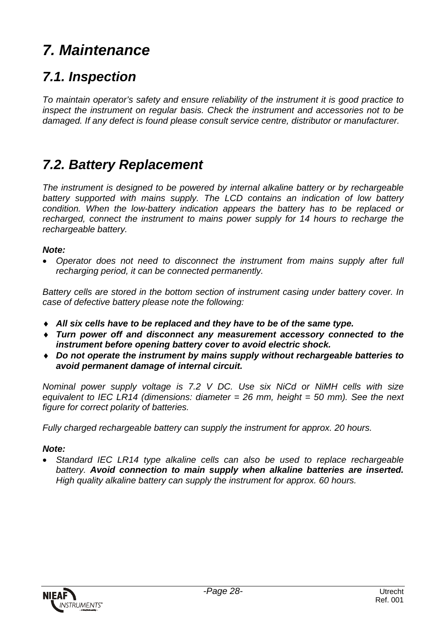# *7. Maintenance*

### *7.1. Inspection*

*To maintain operator's safety and ensure reliability of the instrument it is good practice to inspect the instrument on regular basis. Check the instrument and accessories not to be damaged. If any defect is found please consult service centre, distributor or manufacturer.*

### *7.2. Battery Replacement*

*The instrument is designed to be powered by internal alkaline battery or by rechargeable battery supported with mains supply. The LCD contains an indication of low battery condition. When the low-battery indication appears the battery has to be replaced or recharged, connect the instrument to mains power supply for 14 hours to recharge the rechargeable battery.*

#### *Note:*

• *Operator does not need to disconnect the instrument from mains supply after full recharging period, it can be connected permanently.*

*Battery cells are stored in the bottom section of instrument casing under battery cover. In case of defective battery please note the following:*

- ♦ *All six cells have to be replaced and they have to be of the same type.*
- ♦ *Turn power off and disconnect any measurement accessory connected to the instrument before opening battery cover to avoid electric shock.*
- ♦ *Do not operate the instrument by mains supply without rechargeable batteries to avoid permanent damage of internal circuit.*

*Nominal power supply voltage is 7.2 V DC. Use six NiCd or NiMH cells with size equivalent to IEC LR14 (dimensions: diameter = 26 mm, height = 50 mm). See the next figure for correct polarity of batteries.*

*Fully charged rechargeable battery can supply the instrument for approx. 20 hours.*

#### *Note:*

• *Standard IEC LR14 type alkaline cells can also be used to replace rechargeable battery. Avoid connection to main supply when alkaline batteries are inserted. High quality alkaline battery can supply the instrument for approx. 60 hours.*

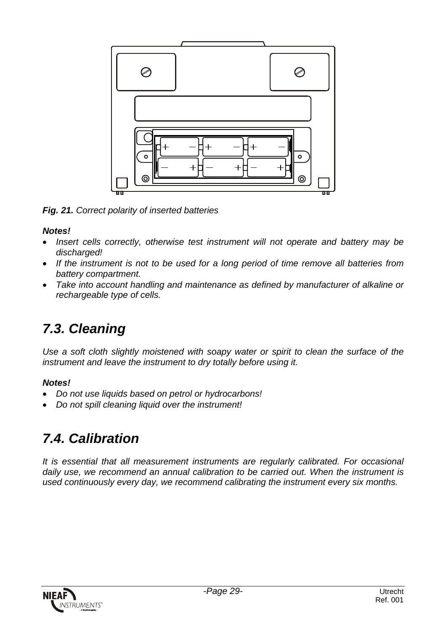

*Fig. 21. Correct polarity of inserted batteries*

#### *Notes!*

- *Insert cells correctly, otherwise test instrument will not operate and battery may be discharged!*
- *If the instrument is not to be used for a long period of time remove all batteries from battery compartment.*
- *Take into account handling and maintenance as defined by manufacturer of alkaline or rechargeable type of cells.*

## *7.3. Cleaning*

*Use a soft cloth slightly moistened with soapy water or spirit to clean the surface of the instrument and leave the instrument to dry totally before using it.*

#### *Notes!*

- *Do not use liquids based on petrol or hydrocarbons!*
- *Do not spill cleaning liquid over the instrument!*

## *7.4. Calibration*

*It is essential that all measurement instruments are regularly calibrated. For occasional daily use, we recommend an annual calibration to be carried out. When the instrument is used continuously every day, we recommend calibrating the instrument every six months.*

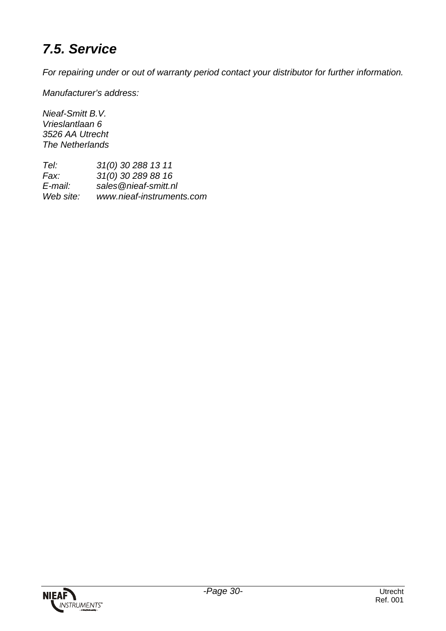## *7.5. Service*

*For repairing under or out of warranty period contact your distributor for further information.*

*Manufacturer's address:*

*Nieaf-Smitt B.V. Vrieslantlaan 6 3526 AA Utrecht The Netherlands*

*Tel: 31(0) 30 288 13 11 Fax: 31(0) 30 289 88 16 E-mail: sales@nieaf-smitt.nl Web site: www.nieaf-instruments.com*

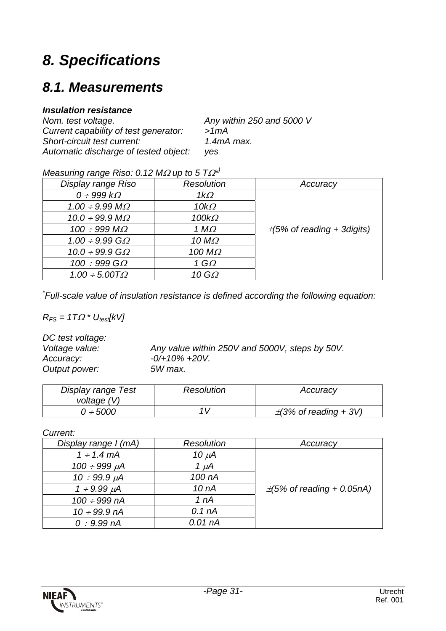# *8. Specifications*

### *8.1. Measurements*

#### *Insulation resistance*

| Nom. test voltage.                    | Any within 250 and 5000 V |
|---------------------------------------|---------------------------|
| Current capability of test generator: | >1mA                      |
| Short-circuit test current:           | $1.4mA$ max.              |
| Automatic discharge of tested object: | ves                       |

#### *Measuring range Riso: 0.12 M*Ω *up to 5 T*Ω*\* )*

| Display range Riso                | <b>Resolution</b> | Accuracy                         |
|-----------------------------------|-------------------|----------------------------------|
| $0 \div 999 k\Omega$              | $1k\Omega$        |                                  |
| $1.00 \div 9.99$ M $\Omega$       | $10k\Omega$       |                                  |
| $10.0 \div 99.9 M_{\Omega}$       | $100k\Omega$      |                                  |
| $100 \div 999$ M $\Omega$         | 1 $M\Omega$       | $\pm$ (5% of reading + 3 digits) |
| $1.00 \div 9.99 \text{ G}\Omega$  | 10 $M\Omega$      |                                  |
| $10.0 \div 99.9 \text{ } G\Omega$ | 100 $M\Omega$     |                                  |
| $100 \div 999$ G $\Omega$         | 1 G $\Omega$      |                                  |
| $1.00 \div 5.00T\Omega$           | 10 G $\Omega$     |                                  |

*\* Full-scale value of insulation resistance is defined according the following equation:*

 $R_{FS} = 1T\Omega * U_{test}[kV]$ 

| DC test voltage: |                                                |
|------------------|------------------------------------------------|
| Voltage value:   | Any value within 250V and 5000V, steps by 50V. |
| Accuracy:        | $-0/+10\% +20V$ .                              |
| Output power:    | 5W max.                                        |

| Display range Test<br>voltage (V) | Resolution | Accuracy                   |
|-----------------------------------|------------|----------------------------|
| 0 ÷ 5000                          |            | $\pm$ (3% of reading + 3V) |

*Current:*

| Display range I (mA)    | <b>Resolution</b>  | Accuracy                       |
|-------------------------|--------------------|--------------------------------|
| $1 \div 1.4 \text{ mA}$ | $10 \mu A$         |                                |
| $100 \div 999 \mu A$    | 1 µA               |                                |
| $10 \div 99.9 \mu A$    | 100 nA             |                                |
| $1 \div 9.99 \mu A$     | 10 <sub>nA</sub>   | $\pm$ (5% of reading + 0.05nA) |
| $100 \div 999$ nA       | 1 nA               |                                |
| $10 \div 99.9$ nA       | 0.1 <sub>nA</sub>  |                                |
| $0 \div 9.99$ nA        | 0.01 <sub>nA</sub> |                                |

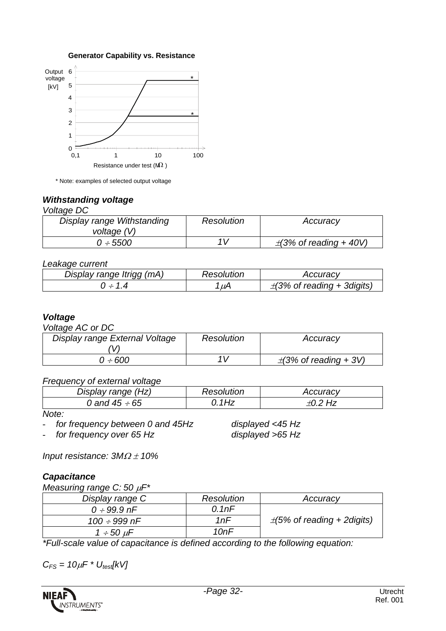



\* Note: examples of selected output voltage

#### *Withstanding voltage*

#### *Voltage DC*

| Display range Withstanding | Resolution | Accuracy                    |
|----------------------------|------------|-----------------------------|
| voltage (V)                |            |                             |
| $0 \div 5500$              | 1 V        | $\pm$ (3% of reading + 40V) |

#### *Leakage current*

| Display range Itrigg (mA) | Resolution | Accuracv                        |
|---------------------------|------------|---------------------------------|
| $-14$                     | $\mu$ A    | $\pm$ (3% of reading + 3digits) |

#### *Voltage*

*Voltage AC or DC*

| Display range External Voltage | <b>Resolution</b> | Accuracy                   |
|--------------------------------|-------------------|----------------------------|
| 0 ÷ 600                        | $1\sqrt{ }$       | $\pm$ (3% of reading + 3V) |

#### *Frequency of external voltage*

| Display range (Hz) | Resolution | Accuracy |
|--------------------|------------|----------|
| 0 and 45 ÷ 65      | 1 H 7      |          |

*Note:*

- *for frequency between 0 and 45Hz displayed <45 Hz*

- *for frequency over 65 Hz displayed >65 Hz*

*Input resistance: 3M*<sup>Ω</sup> <sup>±</sup> *10%*

#### *Capacitance*

*Measuring range C: 50* µ*F\**

| Display range C      | Resolution | Accuracy                         |
|----------------------|------------|----------------------------------|
| $0 \div 99.9$ nF     | 0.1nF      |                                  |
| 100 $\div$ 999 nF    | 1 $nF$     | $\pm$ (5% of reading + 2 digits) |
| $1 \div 50 \; \mu$ F | 10nF       |                                  |

*\*Full-scale value of capacitance is defined according to the following equation:*

 $C_{FS} = 10 \mu F * U_{test}$ [kV]